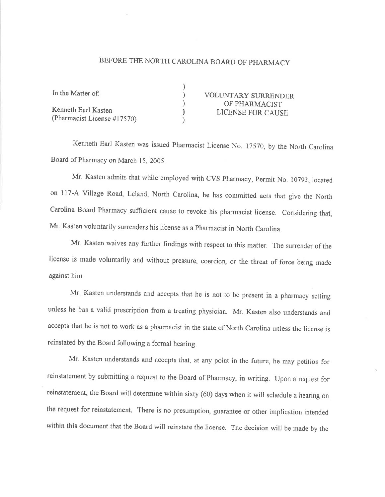## BEFORE THE NORTH CAROLINA BOARD OF PHARMACY

| In the Matter of:               | <b>VOLUNTARY SURRENDER</b> |
|---------------------------------|----------------------------|
|                                 | OF PHARMACIST              |
| Kenneth Earl Kasten             | LICENSE FOR CAUSE          |
| (Pharmacist License $\#17570$ ) |                            |

Kenneth Earl Kasten was issued Pharmacist License No. 17570, by the North Carolina Board of Pharmacy on March 15, 2005.

Mr. Kasten admits that while employed with CVS Pharmacy, Permit No. 10793, located on 117-A Village Road, Leland, North Carolina, he has committed acts that give the North Carolina Board Pharmacy sufficient cause to revoke his pharmacist license. Considering that, Mr. Kasten voluntarily surrenders his license as a Pharmacist in North Carolina.

Mr. Kasten waives any further findings with respect to this matter. The surrender of the license is made voluntarily and without pressure, coercion, or the threat of force being made against him.

Mr. Kasten understands and accepts that he is not to be present in a pharmacy setting unless he has a valid prescription from a treating physician. Mr. Kasten also understands and accepts that he is not to work as a pharmacist in the state of North Carolina unless the license is reinstated by the Board following a formal hearing.

Mr. Kasten understands and accepts that, at any point in the future, he may petition for reinstatement by submitting a request to the Board of Pharmacy, in writing. Upon a request for reinstatement, the Board will determine within sixty (60) days when it will schedule a hearing on the request for reinstatement. There is no presumption, guarantee or other implication intended within this document that the Board will reinstate the license. The decision will be made by the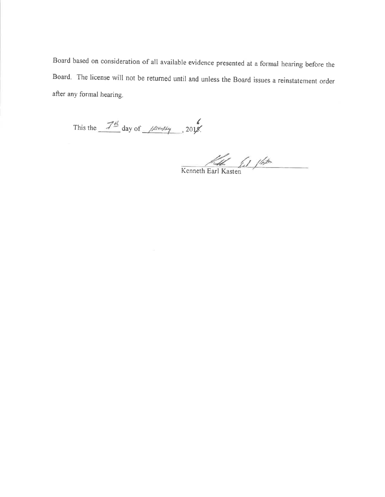Board based on consideration of all available evidence presented at a formal hearing before the Board. The license will not be returned until and unless the Board issues a reinstatement order after any formal hearing.

This the  $\frac{74}{4}$  day of  $\frac{120444}{4}$ , 2018.

 $K$ enneth Earl Kasten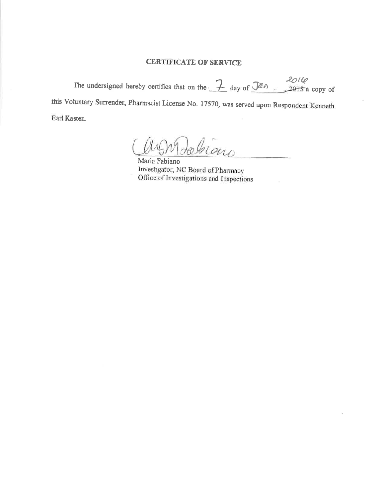## **CERTIFICATE OF SERVICE**

The undersigned hereby certifies that on the  $\frac{7}{4}$  day of  $\frac{201}{6}$  . 2015 a copy of this Voluntary Surrender, Pharmacist License No. 17570, was served upon Respondent Kenneth Earl Kasten.

abran

Maria Fabiano Investigator, NC Board of Pharmacy Office of Investigations and Inspections